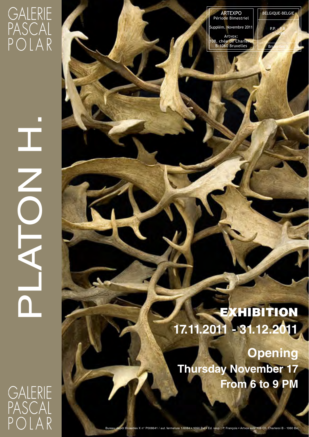## **GALERIE** PASCAL POLAR

г

I

PLATON H.

 $\blacktriangleleft$ 

**NONE** 

ARTEXPO Période Bimestriel olém. Novembre 201

Artvox: 108, chée de Charleroi B-1060 Bruxelles

BELGIQUE-BELGIE P.P. - P.B.

> 1/6084 **Bru**xelles X

EXHIBITION **17.11.2011 - 31.12.2011**

**Opening Thursday November 17 From 6 to 9 PM**

**GALERIE** PASCAL<br>POLAR

**1050 Bxl • Ed. resp. : P. François • Artvox asbl 108 Ch. Charleroi B - 1060 B**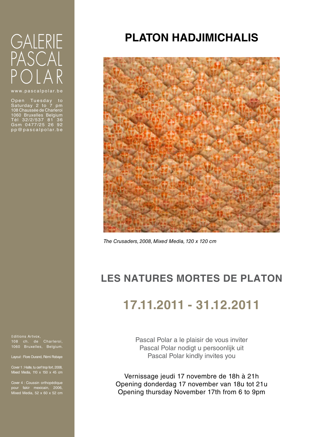# **GALERIE** PASCAL  $OIAR$

Open Tuesday to<br>Saturday 2 to 7 pm<br>108 Chaussée de Charleroi<br>1060 Bruxelles Belgium<br>Tél 32/2/537 81 36<br>Gsm 0477/25 26 92<br>pp@pascalpolar.be

### **PLATON HADJIMICHALIS**



*The Crusaders, 2008, Mixed Media, 120 x 120 cm*

### **LES NATURES MORTES DE PLATON**

### **17.11.2011 - 31.12.2011**

Pascal Polar a le plaisir de vous inviter Pascal Polar nodigt u persoonlijk uit Pascal Polar kindly invites you

Vernissage jeudi 17 novembre de 18h à 21h Opening donderdag 17 november van 18u tot 21u Opening thursday November 17th from 6 to 9pm

Editions Artvox, 108 ch. de Charleroi, 1060 Bruxelles, Belgium.

Layout : Flore Durand, Rémi Robaye

Cover 1 : Halte, tu cerf trop fort, 2008, Mixed Media, 110 x 150 x 45 cm

pour fakir mexicain, 2006, Mixed Media, 52 x 60 x 52 cm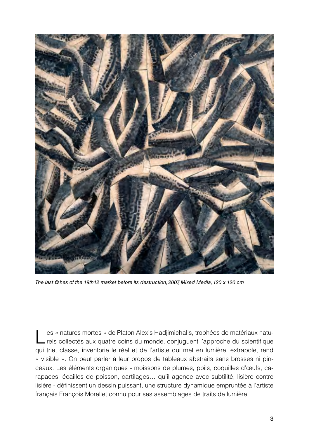

*The last fishes of the 19th12 market before its destruction, 2007, Mixed Media, 120 x 120 cm*

es « natures mortes » de Platon Alexis Hadjimichalis, trophées de matériaux naturels collectés aux quatre coins du monde, conjuguent l'approche du scientifique qui trie, classe, inventorie le réel et de l'artiste qui met en lumière, extrapole, rend « visible ». On peut parler à leur propos de tableaux abstraits sans brosses ni pinceaux. Les éléments organiques - moissons de plumes, poils, coquilles d'œufs, carapaces, écailles de poisson, cartilages… qu'il agence avec subtilité, lisière contre lisière - définissent un dessin puissant, une structure dynamique empruntée à l'artiste français François Morellet connu pour ses assemblages de traits de lumière.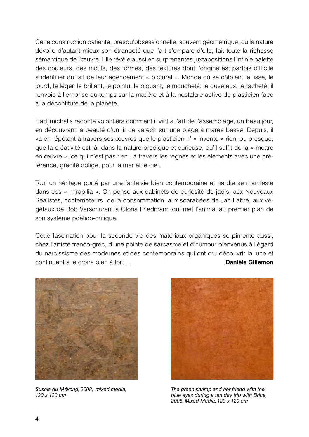Cette construction patiente, presqu'obsessionnelle, souvent géométrique, où la nature dévoile d'autant mieux son étrangeté que l'art s'empare d'elle, fait toute la richesse sémantique de l'œuvre. Elle révèle aussi en surprenantes juxtapositions l'infinie palette des couleurs, des motifs, des formes, des textures dont l'origine est parfois difficile à identifier du fait de leur agencement « pictural ». Monde où se côtoient le lisse, le lourd, le léger, le brillant, le pointu, le piquant, le moucheté, le duveteux, le tacheté, il renvoie à l'emprise du temps sur la matière et à la nostalgie active du plasticien face à la déconfiture de la planète.

Hadjimichalis raconte volontiers comment il vint à l'art de l'assemblage, un beau jour, en découvrant la beauté d'un lit de varech sur une plage à marée basse. Depuis, il va en répétant à travers ses œuvres que le plasticien n' « invente » rien, ou presque, que la créativité est là, dans la nature prodigue et curieuse, qu'il suffit de la « mettre en œuvre », ce qui n'est pas rien!, à travers les règnes et les éléments avec une préférence, grécité oblige, pour la mer et le ciel.

Tout un héritage porté par une fantaisie bien contemporaine et hardie se manifeste dans ces « mirabilia ». On pense aux cabinets de curiosité de jadis, aux Nouveaux Réalistes, contempteurs de la consommation, aux scarabées de Jan Fabre, aux végétaux de Bob Verschuren, à Gloria Friedmann qui met l'animal au premier plan de son système poético-critique.

Cette fascination pour la seconde vie des matériaux organiques se pimente aussi, chez l'artiste franco-grec, d'une pointe de sarcasme et d'humour bienvenus à l'égard du narcissisme des modernes et des contemporains qui ont cru découvrir la lune et continuent à le croire bien à tort… **Danièle Gillemon**



*Sushis du Mékong, 2008, mixed media, 120 x 120 cm*



*The green shrimp and her friend with the blue eyes during a ten day trip with Brice, 2008, Mixed Media, 120 x 120 cm*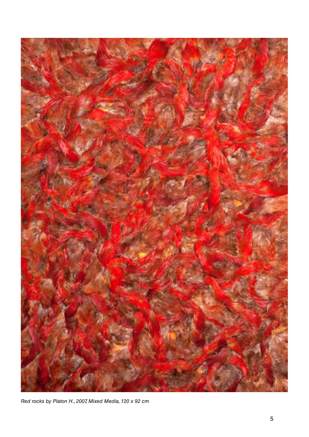

*Red rocks by Platon H., 2007, Mixed Media, 120 x 92 cm*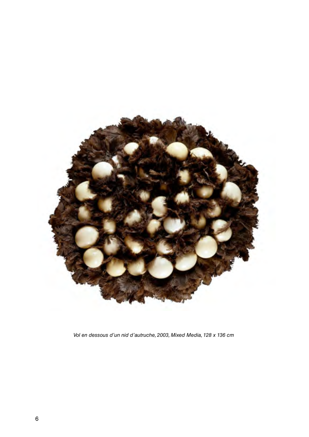

*Vol en dessous d'un nid d'autruche, 2003, Mixed Media, 128 x 136 cm*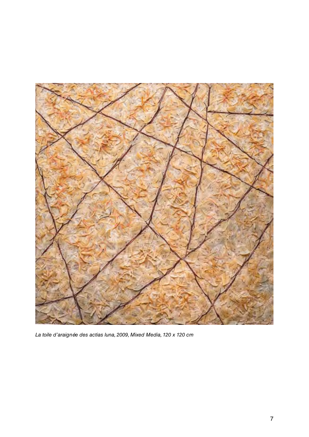

*La toile d'araignée des actias luna, 2009, Mixed Media, 120 x 120 cm*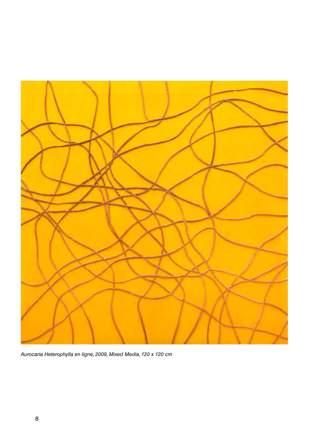

*Aurocaria Heterophylla en ligne, 2009, Mixed Media, 120 x 120 cm*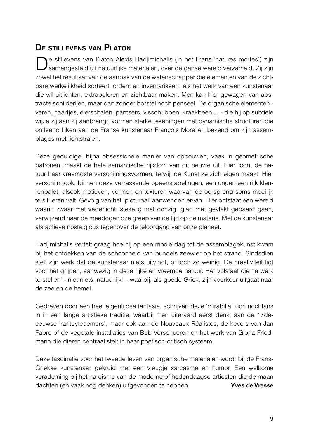#### **De stillevens van Platon**

e stillevens van Platon Alexis Hadjimichalis (in het Frans 'natures mortes') zijn samengesteld uit natuurlijke materialen, over de ganse wereld verzameld. Zij zijn zowel het resultaat van de aanpak van de wetenschapper die elementen van de zichtbare werkelijkheid sorteert, ordent en inventariseert, als het werk van een kunstenaar die wil uitlichten, extrapoleren en zichtbaar maken. Men kan hier gewagen van abstracte schilderijen, maar dan zonder borstel noch penseel. De organische elementen veren, haartjes, eierschalen, pantsers, visschubben, kraakbeen,... - die hij op subtiele wijze zij aan zij aanbrengt, vormen sterke tekeningen met dynamische structuren die ontleend lijken aan de Franse kunstenaar François Morellet, bekend om zijn assemblages met lichtstralen.

Deze geduldige, bijna obsessionele manier van opbouwen, vaak in geometrische patronen, maakt de hele semantische rijkdom van dit oeuvre uit. Hier toont de natuur haar vreemdste verschijningsvormen, terwijl de Kunst ze zich eigen maakt. Hier verschijnt ook, binnen deze verrassende opeenstapelingen, een ongemeen rijk kleurenpalet, alsook motieven, vormen en texturen waarvan de oorsprong soms moeilijk te situeren valt. Gevolg van het 'picturaal' aanwenden ervan. Hier ontstaat een wereld waarin zwaar met vederlicht, stekelig met donzig, glad met gevlekt gepaard gaan, verwijzend naar de meedogenloze greep van de tijd op de materie. Met de kunstenaar als actieve nostalgicus tegenover de teloorgang van onze planeet.

Hadjimichalis vertelt graag hoe hij op een mooie dag tot de assemblagekunst kwam bij het ontdekken van de schoonheid van bundels zeewier op het strand. Sindsdien stelt zijn werk dat de kunstenaar niets uitvindt, of toch zo weinig. De creativiteit ligt voor het grijpen, aanwezig in deze rijke en vreemde natuur. Het volstaat die 'te werk te stellen' - niet niets, natuurlijk! - waarbij, als goede Griek, zijn voorkeur uitgaat naar de zee en de hemel.

Gedreven door een heel eigentijdse fantasie, schrijven deze 'mirabilia' zich nochtans in in een lange artistieke traditie, waarbij men uiteraard eerst denkt aan de 17deeeuwse 'rariteytcaemers', maar ook aan de Nouveaux Réalistes, de kevers van Jan Fabre of de vegetale installaties van Bob Verschueren en het werk van Gloria Friedmann die dieren centraal stelt in haar poetisch-critisch systeem.

Deze fascinatie voor het tweede leven van organische materialen wordt bij de Frans-Griekse kunstenaar gekruid met een vleugje sarcasme en humor. Een welkome verademing bij het narcisme van de moderne of hedendaagse artiesten die de maan dachten (en vaak nóg denken) uitgevonden te hebben. **Yves de Vresse**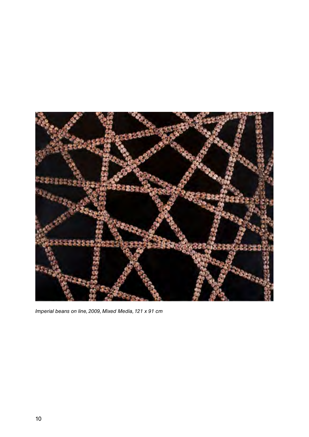

*Imperial beans on line, 2009, Mixed Media, 121 x 91 cm*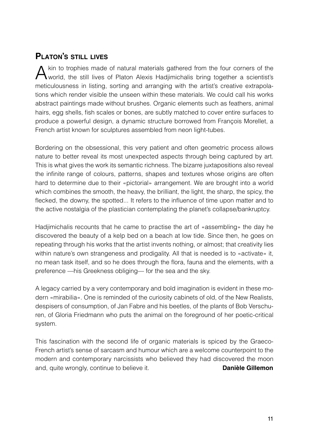#### **Platon's still lives**

kin to trophies made of natural materials gathered from the four corners of the world, the still lives of Platon Alexis Hadjimichalis bring together a scientist's meticulousness in listing, sorting and arranging with the artist's creative extrapolations which render visible the unseen within these materials. We could call his works abstract paintings made without brushes. Organic elements such as feathers, animal hairs, egg shells, fish scales or bones, are subtly matched to cover entire surfaces to produce a powerful design, a dynamic structure borrowed from François Morellet, a French artist known for sculptures assembled from neon light-tubes.

Bordering on the obsessional, this very patient and often geometric process allows nature to better reveal its most unexpected aspects through being captured by art. This is what gives the work its semantic richness. The bizarre juxtapositions also reveal the infinite range of colours, patterns, shapes and textures whose origins are often hard to determine due to their «pictorial» arrangement. We are brought into a world which combines the smooth, the heavy, the brilliant, the light, the sharp, the spicy, the flecked, the downy, the spotted... It refers to the influence of time upon matter and to the active nostalgia of the plastician contemplating the planet's collapse/bankruptcy.

Hadjimichalis recounts that he came to practise the art of «assembling» the day he discovered the beauty of a kelp bed on a beach at low tide. Since then, he goes on repeating through his works that the artist invents nothing, or almost; that creativity lies within nature's own strangeness and prodigality. All that is needed is to «activate» it, no mean task itself, and so he does through the flora, fauna and the elements, with a preference —his Greekness obliging— for the sea and the sky.

A legacy carried by a very contemporary and bold imagination is evident in these modern «mirabilia». One is reminded of the curiosity cabinets of old, of the New Realists, despisers of consumption, of Jan Fabre and his beetles, of the plants of Bob Verschuren, of Gloria Friedmann who puts the animal on the foreground of her poetic-critical system.

This fascination with the second life of organic materials is spiced by the Graeco-French artist's sense of sarcasm and humour which are a welcome counterpoint to the modern and contemporary narcissists who believed they had discovered the moon and, quite wrongly, continue to believe it. **Danièle Gillemon**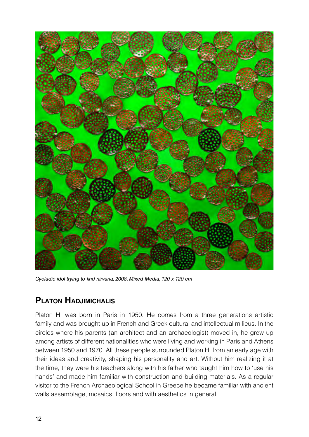

*Cycladic idol trying to find nirvana, 2008, Mixed Media, 120 x 120 cm*

#### **Platon Hadjimichalis**

Platon H. was born in Paris in 1950. He comes from a three generations artistic family and was brought up in French and Greek cultural and intellectual milieus. In the circles where his parents (an architect and an archaeologist) moved in, he grew up among artists of different nationalities who were living and working in Paris and Athens between 1950 and 1970. All these people surrounded Platon H. from an early age with their ideas and creativity, shaping his personality and art. Without him realizing it at the time, they were his teachers along with his father who taught him how to 'use his hands' and made him familiar with construction and building materials. As a regular visitor to the French Archaeological School in Greece he became familiar with ancient walls assemblage, mosaics, floors and with aesthetics in general.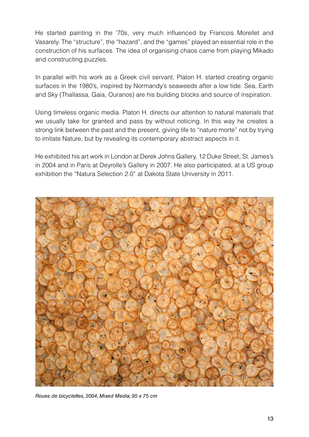He started painting in the '70s, very much influenced by Francois Morellet and Vasarely. The "structure", the "hazard", and the "games" played an essential role in the construction of his surfaces. The idea of organising chaos came from playing Mikado and constructing puzzles.

In parallel with his work as a Greek civil servant, Platon H. started creating organic surfaces in the 1980's, inspired by Normandy's seaweeds after a low tide. Sea, Earth and Sky (Thallassa, Gaia, Ouranos) are his building blocks and source of inspiration.

Using timeless organic media. Platon H. directs our attention to natural materials that we usually take for granted and pass by without noticing. In this way he creates a strong link between the past and the present, giving life to "nature morte" not by trying to imitate Nature, but by revealing its contemporary abstract aspects in it.

He exhibited his art work in London at Derek Johns Gallery, 12 Duke Street, St. James's in 2004 and in Paris at Deyrolle's Gallery in 2007. He also participated, at a US group exhibition the "Natura Selection 2.0" at Dakota State University in 2011.



*Roues de bicyclettes, 2004, Mixed Media, 95 x 75 cm*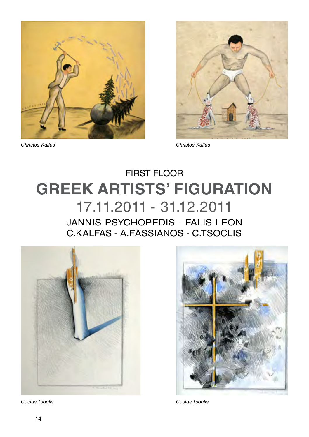



## **GREEK ARTISTS' FIGURATION** 17.11.2011 - 31.12.2011 First floor

JANNIS PSYCHOPEDIS - FALIS LEON C.KALFAS - A.FASSIANOS - C.TSOCLIS





*Costas Tsoclis Costas Tsoclis*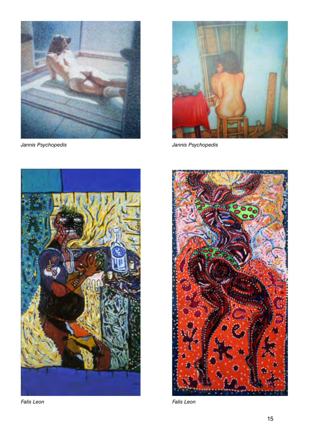